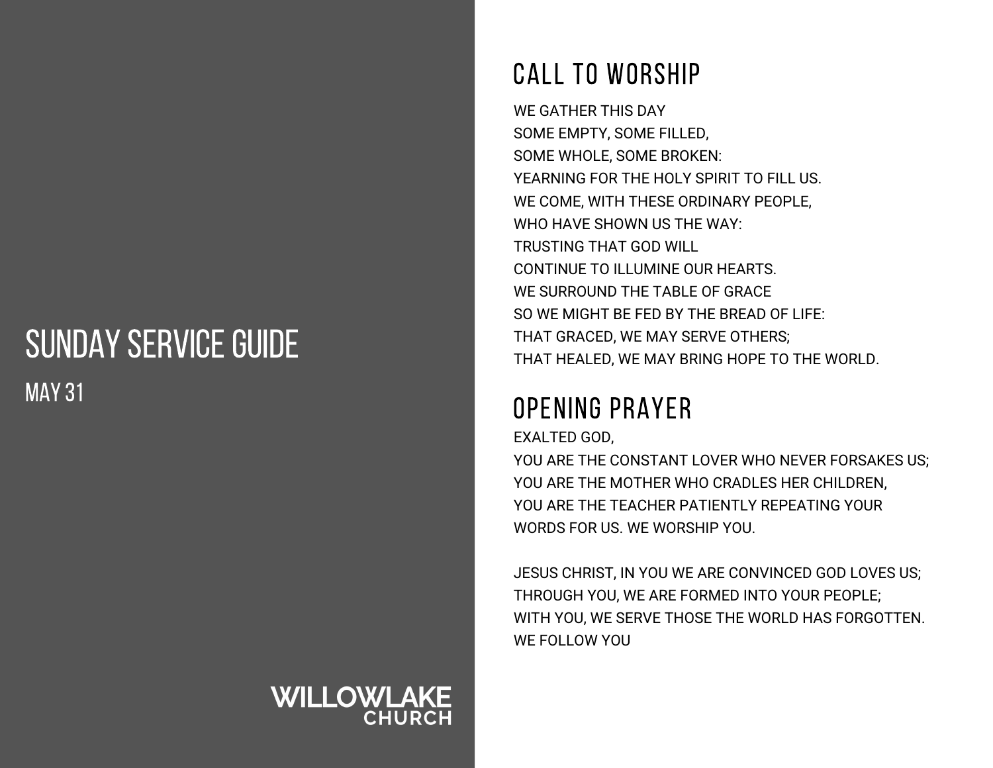## SUNDAY SERVICE GUIDE MAY 31

# **WILLOWLAKE**

## CALL TO WORSHIP

WE GATHER THIS DAY SOME EMPTY, SOME FILLED, SOME WHOLE, SOME BROKEN: YEARNING FOR THE HOLY SPIRIT TO FILL US. WE COME, WITH THESE ORDINARY PEOPLE, WHO HAVE SHOWN US THE WAY: TRUSTING THAT GOD WILL CONTINUE TO ILLUMINE OUR HEARTS. WE SURROUND THE TABLE OF GRACE SO WE MIGHT BE FED BY THE BREAD OF LIFE: THAT GRACED, WE MAY SERVE OTHERS; THAT HEALED, WE MAY BRING HOPE TO THE WORLD.

## OPENING PRAYER

EXALTED GOD,

YOU ARE THE CONSTANT LOVER WHO NEVER FORSAKES US; YOU ARE THE MOTHER WHO CRADLES HER CHILDREN, YOU ARE THE TEACHER PATIENTLY REPEATING YOUR WORDS FOR US. WE WORSHIP YOU.

JESUS CHRIST, IN YOU WE ARE CONVINCED GOD LOVES US; THROUGH YOU, WE ARE FORMED INTO YOUR PEOPLE; WITH YOU, WE SERVE THOSE THE WORLD HAS FORGOTTEN. WE FOLLOW YOU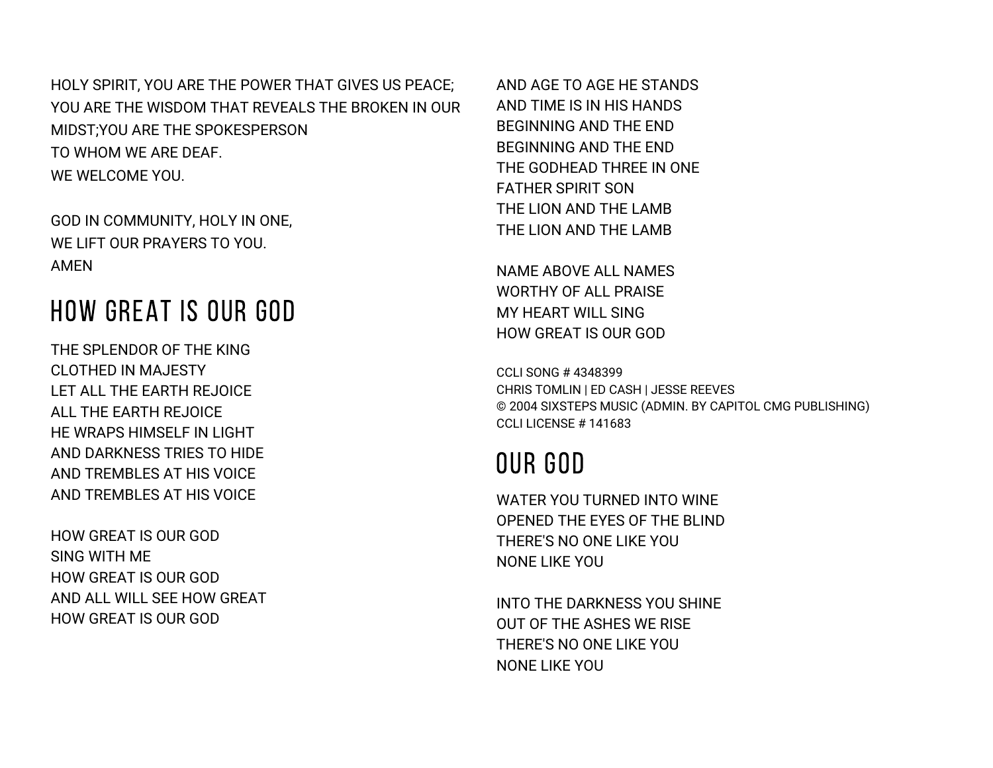HOLY SPIRIT, YOU ARE THE POWER THAT GIVES US PEACE; YOU ARE THE WISDOM THAT REVEALS THE BROKEN IN OUR MIDST;YOU ARE THE SPOKESPERSON TO WHOM WE ARE DEAF. WE WELCOME YOU.

GOD IN COMMUNITY, HOLY IN ONE, WE LIFT OUR PRAYERS TO YOU. AMEN

#### HOW GREAT IS OUR GOD

THE SPLENDOR OF THE KING CLOTHED IN MAJESTY LET ALL THE EARTH REJOICE ALL THE EARTH REJOICE HE WRAPS HIMSELF IN LIGHT AND DARKNESS TRIES TO HIDE AND TREMBLES AT HIS VOICE AND TREMBLES AT HIS VOICE

HOW GREAT IS OUR GOD SING WITH ME HOW GREAT IS OUR GOD AND ALL WILL SEE HOW GREAT HOW GREAT IS OUR GOD

AND AGE TO AGE HE STANDS AND TIME IS IN HIS HANDS BEGINNING AND THE END BEGINNING AND THE END THE GODHEAD THREE IN ONE FATHER SPIRIT SON THE LION AND THE LAMB THE LION AND THE LAMB

NAME ABOVE ALL NAMES WORTHY OF ALL PRAISE MY HEART WILL SING HOW GREAT IS OUR GOD

CCLI SONG # 4348399 CHRIS TOMLIN | ED CASH | JESSE REEVES © 2004 SIXSTEPS MUSIC (ADMIN. BY CAPITOL CMG PUBLISHING) CCLI LICENSE # 141683

### OUR GOD

WATER YOU TURNED INTO WINE OPENED THE EYES OF THE BLIND THERE'S NO ONE LIKE YOU NONE LIKE YOU

INTO THE DARKNESS YOU SHINE OUT OF THE ASHES WE RISE THERE'S NO ONE LIKE YOU NONE LIKE YOU